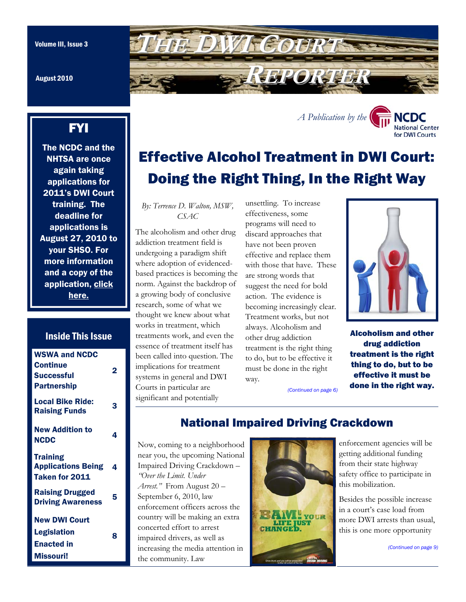August 2010

# FYI

The NCDC and the NHTSA are once again taking applications for 2011's DWI Court training. The deadline for applications is August 27, 2010 to your SHSO. For more information and a copy of the application, click here.

### Inside This Issue

| <b>WSWA and NCDC</b><br><b>Continue</b><br><b>Successful</b><br><b>Partnership</b> | 2 |
|------------------------------------------------------------------------------------|---|
| <b>Local Bike Ride:</b><br><b>Raising Funds</b>                                    | 3 |
| <b>New Addition to</b><br><b>NCDC</b>                                              | 4 |
| <b>Training</b><br><b>Applications Being</b><br>Taken for 2011                     | 4 |
| <b>Raising Drugged</b><br><b>Driving Awareness</b>                                 | 5 |
| <b>New DWI Court</b><br><b>Legislation</b><br><b>Enacted in</b><br>Missouri!       | 8 |

<span id="page-0-0"></span>

# Effective Alcohol Treatment in DWI Court: Doing the Right Thing, In the Right Way

*A Publication by the* 

*By: Terrence D. Walton, MSW, CSAC* 

The alcoholism and other drug

effectiveness, some with those that have. These becoming increasingly clear. way.



NCDC **National Center** for DWI Courts

Alcoholism and other drug addiction treatment is the right thing to do, but to be effective it must be done in the right way.

*[\(Continued on page 6\)](#page-5-0)* 



National Impaired Driving Crackdown

enforcement agencies will be getting additional funding from their state highway safety office to participate in this mobilization.

Besides the possible increase in a court's case load from more DWI arrests than usual, this is one more opportunity

*[\(Continued on page 9\)](#page-8-0)* 

# unsettling. To increase

addiction treatment field is undergoing a paradigm shift where adoption of evidencedbased practices is becoming the norm. Against the backdrop of a growing body of conclusive research, some of what we thought we knew about what works in treatment, which treatments work, and even the essence of treatment itself has been called into question. The implications for treatment systems in general and DWI Courts in particular are significant and potentially

Impaired Driving Crackdown –

enforcement officers across the country will be making an extra concerted effort to arrest impaired drivers, as well as

*"Over the Limit. Under Arrest."* From August 20 – September 6, 2010, law

the community. Law

programs will need to discard approaches that have not been proven effective and replace them are strong words that suggest the need for bold action. The evidence is Treatment works, but not always. Alcoholism and other drug addiction treatment is the right thing to do, but to be effective it must be done in the right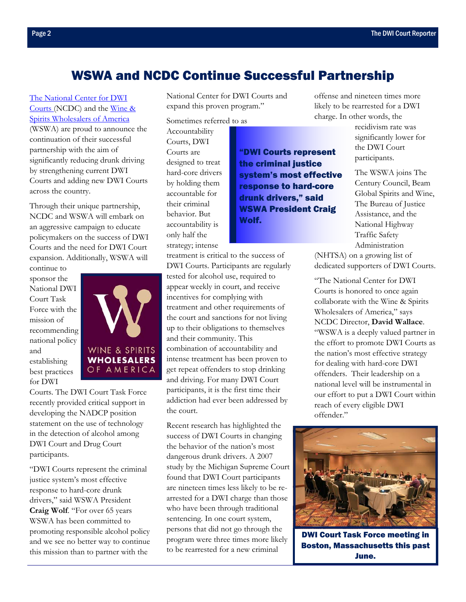# WSWA and NCDC Continue Successful Partnership

<span id="page-1-0"></span>[The National Center for DWI](http://www.dwicourts.org/ncdc-home/)  Courts (NCDC) and the Wine & [Spirits Wholesalers of America](http://www.wswa.org/)  (WSWA) are proud to announce the continuation of their successful partnership with the aim of significantly reducing drunk driving by strengthening current DWI Courts and adding new DWI Courts across the country.

Through their unique partnership, NCDC and WSWA will embark on an aggressive campaign to educate policymakers on the success of DWI Courts and the need for DWI Court expansion. Additionally, WSWA will

continue to sponsor the National DWI Court Task Force with the mission of recommending national policy and establishing best practices for DWI



Courts. The DWI Court Task Force recently provided critical support in developing the NADCP position statement on the use of technology in the detection of alcohol among DWI Court and Drug Court participants.

"DWI Courts represent the criminal justice system's most effective response to hard-core drunk drivers," said WSWA President **Craig Wolf**. "For over 65 years WSWA has been committed to promoting responsible alcohol policy and we see no better way to continue this mission than to partner with the

National Center for DWI Courts and expand this proven program."

Sometimes referred to as

Accountability Courts, DWI Courts are designed to treat hard-core drivers by holding them accountable for their criminal behavior. But accountability is only half the strategy; intense

"DWI Courts represent the criminal justice system's most effective response to hard-core drunk drivers," said WSWA President Craig Wolf.

treatment is critical to the success of DWI Courts. Participants are regularly tested for alcohol use, required to appear weekly in court, and receive incentives for complying with treatment and other requirements of the court and sanctions for not living up to their obligations to themselves and their community. This combination of accountability and intense treatment has been proven to get repeat offenders to stop drinking and driving. For many DWI Court participants, it is the first time their addiction had ever been addressed by the court.

Recent research has highlighted the success of DWI Courts in changing the behavior of the nation's most dangerous drunk drivers. A 2007 study by the Michigan Supreme Court found that DWI Court participants are nineteen times less likely to be rearrested for a DWI charge than those who have been through traditional sentencing. In one court system, persons that did not go through the program were three times more likely to be rearrested for a new criminal

offense and nineteen times more likely to be rearrested for a DWI charge. In other words, the

recidivism rate was significantly lower for the DWI Court participants.

The WSWA joins The Century Council, Beam Global Spirits and Wine, The Bureau of Justice Assistance, and the National Highway Traffic Safety Administration

(NHTSA) on a growing list of dedicated supporters of DWI Courts.

"The National Center for DWI Courts is honored to once again collaborate with the Wine & Spirits Wholesalers of America," says NCDC Director, **David Wallace**. "WSWA is a deeply valued partner in the effort to promote DWI Courts as the nation's most effective strategy for dealing with hard-core DWI offenders. Their leadership on a national level will be instrumental in our effort to put a DWI Court within reach of every eligible DWI offender."



DWI Court Task Force meeting in Boston, Massachusetts this past June.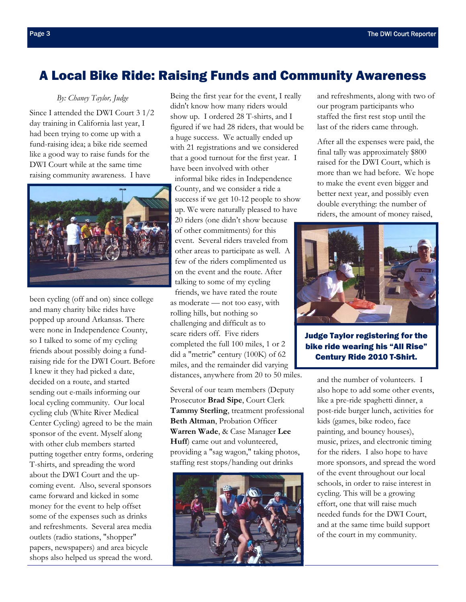# <span id="page-2-0"></span>A Local Bike Ride: Raising Funds and Community Awareness

#### *By: Chaney Taylor, Judge*

Since I attended the DWI Court 3 1/2 day training in California last year, I had been trying to come up with a fund-raising idea; a bike ride seemed like a good way to raise funds for the DWI Court while at the same time raising community awareness. I have



been cycling (off and on) since college and many charity bike rides have popped up around Arkansas. There were none in Independence County, so I talked to some of my cycling friends about possibly doing a fundraising ride for the DWI Court. Before I knew it they had picked a date, decided on a route, and started sending out e-mails informing our local cycling community. Our local cycling club (White River Medical Center Cycling) agreed to be the main sponsor of the event. Myself along with other club members started putting together entry forms, ordering T-shirts, and spreading the word about the DWI Court and the upcoming event. Also, several sponsors came forward and kicked in some money for the event to help offset some of the expenses such as drinks and refreshments. Several area media outlets (radio stations, "shopper" papers, newspapers) and area bicycle shops also helped us spread the word.

Being the first year for the event, I really didn't know how many riders would show up. I ordered 28 T-shirts, and I figured if we had 28 riders, that would be a huge success. We actually ended up with 21 registrations and we considered that a good turnout for the first year. I have been involved with other informal bike rides in Independence County, and we consider a ride a success if we get 10-12 people to show up. We were naturally pleased to have

20 riders (one didn't show because of other commitments) for this event. Several riders traveled from other areas to participate as well. A few of the riders complimented us on the event and the route. After talking to some of my cycling

friends, we have rated the route as moderate — not too easy, with rolling hills, but nothing so challenging and difficult as to scare riders off. Five riders completed the full 100 miles, 1 or 2 did a "metric" century (100K) of 62 miles, and the remainder did varying distances, anywhere from 20 to 50 miles.

Several of our team members (Deputy Prosecutor **Brad Sipe**, Court Clerk **Tammy Sterling**, treatment professional **Beth Altman**, Probation Officer **Warren Wade**, & Case Manager **Lee Huff**) came out and volunteered, providing a "sag wagon," taking photos, staffing rest stops/handing out drinks



and refreshments, along with two of our program participants who staffed the first rest stop until the last of the riders came through.

After all the expenses were paid, the final tally was approximately \$800 raised for the DWI Court, which is more than we had before. We hope to make the event even bigger and better next year, and possibly even double everything: the number of riders, the amount of money raised,



Judge Taylor registering for the bike ride wearing his "All Rise" Century Ride 2010 T-Shirt.

and the number of volunteers. I also hope to add some other events, like a pre-ride spaghetti dinner, a post-ride burger lunch, activities for kids (games, bike rodeo, face painting, and bouncy houses), music, prizes, and electronic timing for the riders. I also hope to have more sponsors, and spread the word of the event throughout our local schools, in order to raise interest in cycling. This will be a growing effort, one that will raise much needed funds for the DWI Court, and at the same time build support of the court in my community.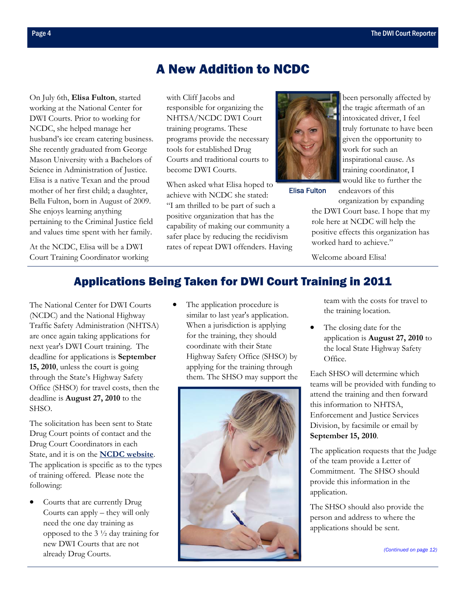# A New Addition to NCDC

<span id="page-3-0"></span>On July 6th, **Elisa Fulton**, started working at the National Center for DWI Courts. Prior to working for NCDC, she helped manage her husband's ice cream catering business. She recently graduated from George Mason University with a Bachelors of Science in Administration of Justice. Elisa is a native Texan and the proud mother of her first child; a daughter, Bella Fulton, born in August of 2009. She enjoys learning anything pertaining to the Criminal Justice field and values time spent with her family.

At the NCDC, Elisa will be a DWI Court Training Coordinator working with Cliff Jacobs and responsible for organizing the NHTSA/NCDC DWI Court training programs. These programs provide the necessary tools for established Drug Courts and traditional courts to become DWI Courts.

When asked what Elisa hoped to achieve with NCDC she stated: "I am thrilled to be part of such a positive organization that has the capability of making our community a safer place by reducing the recidivism rates of repeat DWI offenders. Having



Elisa Fulton

been personally affected by the tragic aftermath of an intoxicated driver, I feel truly fortunate to have been given the opportunity to work for such an inspirational cause. As training coordinator, I would like to further the endeavors of this

organization by expanding the DWI Court base. I hope that my role here at NCDC will help the positive effects this organization has worked hard to achieve."

Welcome aboard Elisa!

## Applications Being Taken for DWI Court Training in 2011

The National Center for DWI Courts (NCDC) and the National Highway Traffic Safety Administration (NHTSA) are once again taking applications for next year's DWI Court training. The deadline for applications is **September 15, 2010**, unless the court is going through the State's Highway Safety Office (SHSO) for travel costs, then the deadline is **August 27, 2010** to the SHSO.

The solicitation has been sent to State Drug Court points of contact and the Drug Court Coordinators in each State, and it is on the **[NCDC website](http://www.dwicourts.org/resources/training-programs)**. The application is specific as to the types of training offered. Please note the following:

Courts that are currently Drug Courts can apply – they will only need the one day training as opposed to the 3 ½ day training for new DWI Courts that are not already Drug Courts.

The application procedure is similar to last year's application. When a jurisdiction is applying for the training, they should coordinate with their State Highway Safety Office (SHSO) by applying for the training through them. The SHSO may support the



team with the costs for travel to the training location.

The closing date for the application is **August 27, 2010** to the local State Highway Safety Office.

Each SHSO will determine which teams will be provided with funding to attend the training and then forward this information to NHTSA, Enforcement and Justice Services Division, by facsimile or email by **September 15, 2010**.

The application requests that the Judge of the team provide a Letter of Commitment. The SHSO should provide this information in the application.

The SHSO should also provide the person and address to where the applications should be sent.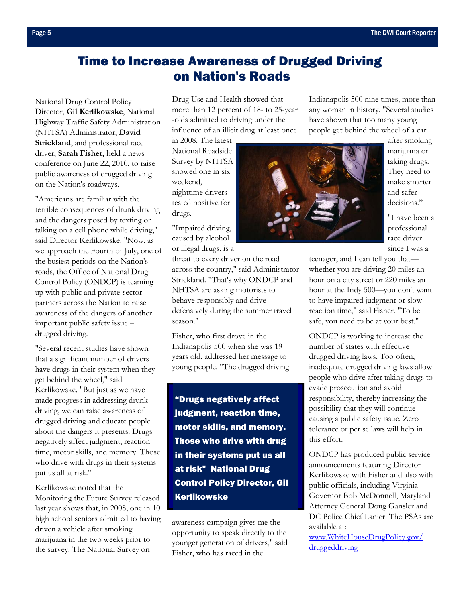# <span id="page-4-0"></span>Time to Increase Awareness of Drugged Driving on Nation's Roads

National Drug Control Policy Director, **Gil Kerlikowske**, National Highway Traffic Safety Administration (NHTSA) Administrator, **David Strickland**, and professional race driver, **Sarah Fisher,** held a news conference on June 22, 2010, to raise public awareness of drugged driving on the Nation's roadways.

"Americans are familiar with the terrible consequences of drunk driving and the dangers posed by texting or talking on a cell phone while driving," said Director Kerlikowske. "Now, as we approach the Fourth of July, one of the busiest periods on the Nation's roads, the Office of National Drug Control Policy (ONDCP) is teaming up with public and private-sector partners across the Nation to raise awareness of the dangers of another important public safety issue – drugged driving.

"Several recent studies have shown that a significant number of drivers have drugs in their system when they get behind the wheel," said Kerlikowske. "But just as we have made progress in addressing drunk driving, we can raise awareness of drugged driving and educate people about the dangers it presents. Drugs negatively affect judgment, reaction time, motor skills, and memory. Those who drive with drugs in their systems put us all at risk."

Kerlikowske noted that the Monitoring the Future Survey released last year shows that, in 2008, one in 10 high school seniors admitted to having driven a vehicle after smoking marijuana in the two weeks prior to the survey. The National Survey on

Drug Use and Health showed that more than 12 percent of 18- to 25-year -olds admitted to driving under the influence of an illicit drug at least once

in 2008. The latest National Roadside Survey by NHTSA showed one in six weekend, nighttime drivers tested positive for drugs.

"Impaired driving, caused by alcohol or illegal drugs, is a

threat to every driver on the road across the country," said Administrator Strickland. "That's why ONDCP and NHTSA are asking motorists to behave responsibly and drive defensively during the summer travel season."

Fisher, who first drove in the Indianapolis 500 when she was 19 years old, addressed her message to young people. "The drugged driving

"Drugs negatively affect judgment, reaction time, motor skills, and memory. Those who drive with drug in their systems put us all at risk" National Drug Control Policy Director, Gil Kerlikowske

awareness campaign gives me the opportunity to speak directly to the younger generation of drivers," said Fisher, who has raced in the

Indianapolis 500 nine times, more than any woman in history. "Several studies have shown that too many young people get behind the wheel of a car



after smoking marijuana or taking drugs. They need to make smarter and safer decisions."

"I have been a professional race driver since I was a

teenager, and I can tell you that whether you are driving 20 miles an hour on a city street or 220 miles an hour at the Indy 500—you don't want to have impaired judgment or slow reaction time," said Fisher. "To be safe, you need to be at your best."

ONDCP is working to increase the number of states with effective drugged driving laws. Too often, inadequate drugged driving laws allow people who drive after taking drugs to evade prosecution and avoid responsibility, thereby increasing the possibility that they will continue causing a public safety issue. Zero tolerance or per se laws will help in this effort.

ONDCP has produced public service announcements featuring Director Kerlikowske with Fisher and also with public officials, including Virginia Governor Bob McDonnell, Maryland Attorney General Doug Gansler and DC Police Chief Lanier. The PSAs are available at:

[www.WhiteHouseDrugPolicy.gov/](http://www.whitehousedrugpolicy.gov/druggeddriving/) druggeddriving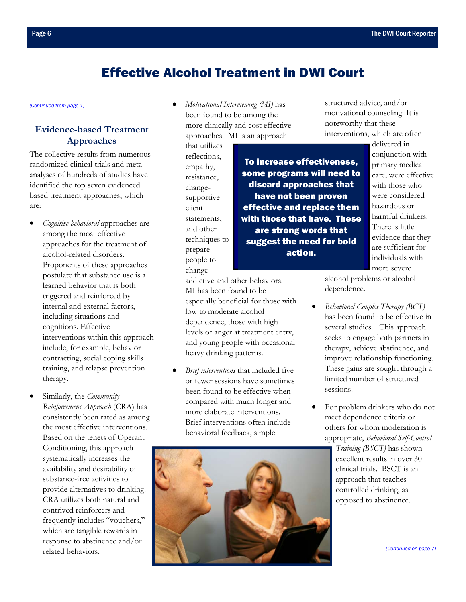# Effective Alcohol Treatment in DWI Court

### **Evidence-based Treatment Approaches**

The collective results from numerous randomized clinical trials and metaanalyses of hundreds of studies have identified the top seven evidenced based treatment approaches, which are:

- *Cognitive behavioral* approaches are among the most effective approaches for the treatment of alcohol-related disorders. Proponents of these approaches postulate that substance use is a learned behavior that is both triggered and reinforced by internal and external factors, including situations and cognitions. Effective interventions within this approach include, for example, behavior contracting, social coping skills training, and relapse prevention therapy.
- Similarly, the *Community Reinforcement Approach* (CRA) has consistently been rated as among the most effective interventions. Based on the tenets of Operant Conditioning, this approach systematically increases the availability and desirability of substance-free activities to provide alternatives to drinking. CRA utilizes both natural and contrived reinforcers and frequently includes "vouchers," which are tangible rewards in response to abstinence and/or related behaviors.

<span id="page-5-0"></span>*[\(Continued from page 1\)](#page-0-0)* • *Motivational Interviewing (MI)* has been found to be among the more clinically and cost effective approaches. MI is an approach

> that utilizes reflections, empathy, resistance, changesupportive client statements, and other techniques to prepare people to change

To increase effectiveness, some programs will need to discard approaches that have not been proven effective and replace them with those that have. These are strong words that suggest the need for bold action.

structured advice, and/or motivational counseling. It is noteworthy that these interventions, which are often

delivered in conjunction with primary medical care, were effective with those who were considered hazardous or harmful drinkers. There is little evidence that they are sufficient for individuals with more severe

addictive and other behaviors. MI has been found to be especially beneficial for those with low to moderate alcohol dependence, those with high levels of anger at treatment entry, and young people with occasional heavy drinking patterns.

• *Brief interventions* that included five or fewer sessions have sometimes been found to be effective when compared with much longer and more elaborate interventions. Brief interventions often include behavioral feedback, simple



- *Behavioral Couples Therapy (BCT)* has been found to be effective in several studies. This approach seeks to engage both partners in therapy, achieve abstinence, and improve relationship functioning. These gains are sought through a limited number of structured sessions.
- For problem drinkers who do not meet dependence criteria or others for whom moderation is appropriate, *Behavioral Self-Control*

*Training (BSCT)* has shown excellent results in over 30 clinical trials. BSCT is an approach that teaches controlled drinking, as opposed to abstinence.

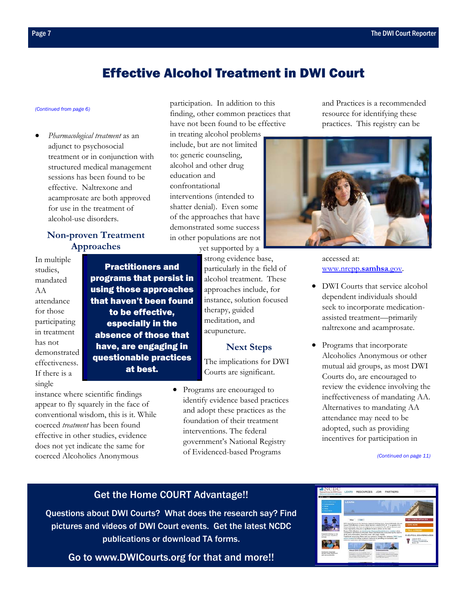# Effective Alcohol Treatment in DWI Court

• *Pharmacological treatment* as an adjunct to psychosocial treatment or in conjunction with structured medical management sessions has been found to be effective. Naltrexone and acamprosate are both approved for use in the treatment of alcohol-use disorders.

### **Non-proven Treatment Approaches**

In multiple studies, mandated AA attendance for those participating in treatment has not demonstrated effectiveness. If there is a single

Practitioners and programs that persist in using those approaches that haven't been found to be effective, especially in the absence of those that have, are engaging in questionable practices at best.

instance where scientific findings appear to fly squarely in the face of conventional wisdom, this is it. While coerced *treatment* has been found effective in other studies, evidence does not yet indicate the same for coerced Alcoholics Anonymous

<span id="page-6-0"></span>*[\(Continued from page 6\)](#page-5-0)* participation. In addition to this finding, other common practices that have not been found to be effective

in treating alcohol problems include, but are not limited to: generic counseling, alcohol and other drug education and confrontational interventions (intended to shatter denial). Even some of the approaches that have demonstrated some success in other populations are not yet supported by a

strong evidence base, particularly in the field of alcohol treatment. These approaches include, for instance, solution focused therapy, guided meditation, and acupuncture.

#### **Next Steps**

The implications for DWI Courts are significant.

• Programs are encouraged to identify evidence based practices and adopt these practices as the foundation of their treatment interventions. The federal government's National Registry of Evidenced-based Programs

and Practices is a recommended resource for identifying these practices. This registry can be



accessed at: www.nrepp.**samhsa**.gov.

- DWI Courts that service alcohol dependent individuals should seek to incorporate medicationassisted treatment—primarily naltrexone and acamprosate.
- Programs that incorporate Alcoholics Anonymous or other mutual aid groups, as most DWI Courts do, are encouraged to review the evidence involving the ineffectiveness of mandating AA. Alternatives to mandating AA attendance may need to be adopted, such as providing incentives for participation in

*[\(Continued on page 11\)](#page-10-0)* 

### Get the Home COURT Advantage!!

[Questions about DWI Courts? What does the research say? Find](http://www.dwicourts.org/ncdc-home/)  pictures and videos of DWI Court events. Get the latest NCDC publications or download TA forms.

Go to www.DWICourts.org for that and more!!

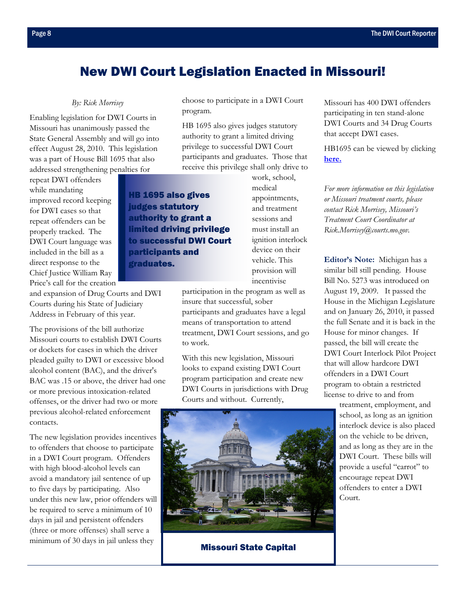# <span id="page-7-0"></span>New DWI Court Legislation Enacted in Missouri!

#### *By: Rick Morrisey*

Enabling legislation for DWI Courts in Missouri has unanimously passed the State General Assembly and will go into effect August 28, 2010. This legislation was a part of House Bill 1695 that also addressed strengthening penalties for

repeat DWI offenders while mandating improved record keeping for DWI cases so that repeat offenders can be properly tracked. The DWI Court language was included in the bill as a direct response to the Chief Justice William Ray Price's call for the creation

HB 1695 also gives judges statutory authority to grant a limited driving privilege to successful DWI Court participants and graduates.

choose to participate in a DWI Court program.

HB 1695 also gives judges statutory authority to grant a limited driving privilege to successful DWI Court participants and graduates. Those that receive this privilege shall only drive to

> work, school, medical appointments, and treatment sessions and must install an ignition interlock device on their vehicle. This provision will incentivise

participation in the program as well as insure that successful, sober participants and graduates have a legal means of transportation to attend treatment, DWI Court sessions, and go to work.

With this new legislation, Missouri looks to expand existing DWI Court program participation and create new DWI Courts in jurisdictions with Drug Courts and without. Currently,

Missouri State Capital

Missouri has 400 DWI offenders participating in ten stand-alone DWI Courts and 34 Drug Courts that accept DWI cases.

[HB1695 can be viewed](http://www.house.mo.gov/billtracking/bills101/biltxt/truly/HB1695T.HTM) by clicking **here.**

*For more information on this legislation or Missouri treatment courts, please contact Rick Morrisey, Missouri's Treatment Court Coordinator at Rick.Morrisey@courts.mo.gov.* 

**Editor's Note:** Michigan has a similar bill still pending. House Bill No. 5273 was introduced on August 19, 2009. It passed the House in the Michigan Legislature and on January 26, 2010, it passed the full Senate and it is back in the House for minor changes. If passed, the bill will create the DWI Court Interlock Pilot Project that will allow hardcore DWI offenders in a DWI Court program to obtain a restricted license to drive to and from

> treatment, employment, and school, as long as an ignition interlock device is also placed on the vehicle to be driven, and as long as they are in the DWI Court. These bills will provide a useful "carrot" to encourage repeat DWI offenders to enter a DWI Court.

and expansion of Drug Courts and DWI Courts during his State of Judiciary Address in February of this year.

The provisions of the bill authorize Missouri courts to establish DWI Courts or dockets for cases in which the driver pleaded guilty to DWI or excessive blood alcohol content (BAC), and the driver's BAC was .15 or above, the driver had one or more previous intoxication-related offenses, or the driver had two or more previous alcohol-related enforcement contacts.

The new legislation provides incentives to offenders that choose to participate in a DWI Court program. Offenders with high blood-alcohol levels can avoid a mandatory jail sentence of up to five days by participating. Also under this new law, prior offenders will be required to serve a minimum of 10 days in jail and persistent offenders (three or more offenses) shall serve a minimum of 30 days in jail unless they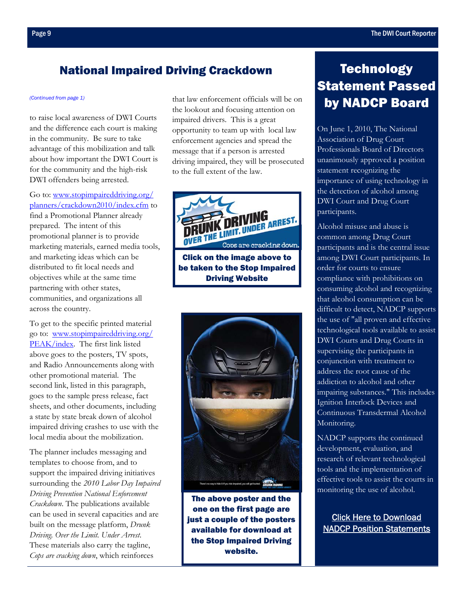### <span id="page-8-0"></span>National Impaired Driving Crackdown

to raise local awareness of DWI Courts and the difference each court is making in the community. Be sure to take advantage of this mobilization and talk about how important the DWI Court is for the community and the high-risk DWI offenders being arrested.

Go to: www.stopimpaireddriving.org/ [planners/crackdown2010/index.cfm to](http://www.stopimpaireddriving.org/planners/crackdown2010/index.cfm)  find a Promotional Planner already prepared. The intent of this promotional planner is to provide marketing materials, earned media tools, and marketing ideas which can be distributed to fit local needs and objectives while at the same time partnering with other states, communities, and organizations all across the country.

To get to the specific printed material [go to: www.stopimpaireddriving.org/](http://www.stopimpaireddriving.org/PEAK/index.html) PEAK/index. The first link listed above goes to the posters, TV spots, and Radio Announcements along with other promotional material. The second link, listed in this paragraph, goes to the sample press release, fact sheets, and other documents, including a state by state break down of alcohol impaired driving crashes to use with the local media about the mobilization.

The planner includes messaging and templates to choose from, and to support the impaired driving initiatives surrounding the *2010 Labor Day Impaired Driving Prevention National Enforcement Crackdown*. The publications available can be used in several capacities and are built on the message platform, *Drunk Driving. Over the Limit. Under Arrest*. These materials also carry the tagline, *Cops are cracking down*, which reinforces

*[\(Continued from page 1\)](#page-0-0)* that law enforcement officials will be on the lookout and focusing attention on impaired drivers. This is a great opportunity to team up with local law enforcement agencies and spread the message that if a person is arrested driving impaired, they will be prosecuted to the full extent of the law.



[be taken to the Stop Impaired](http://www.stopimpaireddriving.org/)  Driving Website



The above poster and the one on the first page are just a couple of the posters available for download at the Stop Impaired Driving website.

# **Technology** Statement Passed by NADCP Board

On June 1, 2010, The National Association of Drug Court Professionals Board of Directors unanimously approved a position statement recognizing the importance of using technology in the detection of alcohol among DWI Court and Drug Court participants.

Alcohol misuse and abuse is common among Drug Court participants and is the central issue among DWI Court participants. In order for courts to ensure compliance with prohibitions on consuming alcohol and recognizing that alcohol consumption can be difficult to detect, NADCP supports the use of "all proven and effective technological tools available to assist DWI Courts and Drug Courts in supervising the participants in conjunction with treatment to address the root cause of the addiction to alcohol and other impairing substances." This includes Ignition Interlock Devices and Continuous Transdermal Alcohol Monitoring.

NADCP supports the continued development, evaluation, and research of relevant technological tools and the implementation of effective tools to assist the courts in monitoring the use of alcohol.

Click Here to Download [NADCP Position Statements](http://www.nadcp.org/sites/default/files/nadcp/NADCP%20Board%20Position%20Statement%20-%20Alcohol%20Detection%20and%20Technology.pdf)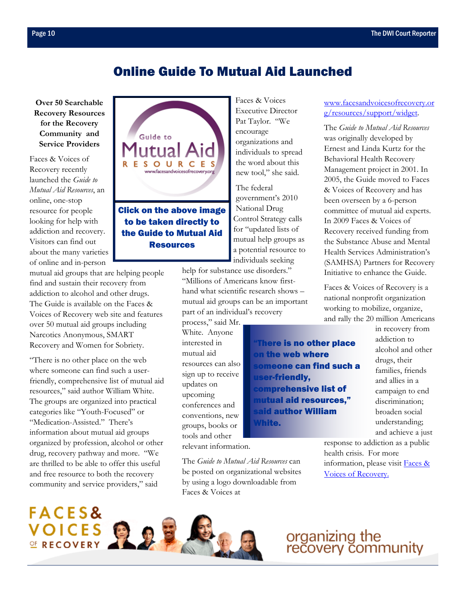## Online Guide To Mutual Aid Launched

**Over 50 Searchable Recovery Resources for the Recovery Community and Service Providers** 

Faces & Voices of Recovery recently launched the *Guide to Mutual Aid Resources*, an online, one-stop resource for people looking for help with addiction and recovery. Visitors can find out about the many varieties of online and in-person

mutual aid groups that are helping people find and sustain their recovery from addiction to alcohol and other drugs. The Guide is available on the Faces & Voices of Recovery web site and features over 50 mutual aid groups including Narcotics Anonymous, SMART Recovery and Women for Sobriety.

"There is no other place on the web where someone can find such a userfriendly, comprehensive list of mutual aid resources," said author William White. The groups are organized into practical categories like "Youth-Focused" or "Medication-Assisted." There's information about mutual aid groups organized by profession, alcohol or other drug, recovery pathway and more. "We are thrilled to be able to offer this useful and free resource to both the recovery community and service providers," said



Faces & Voices Executive Director Pat Taylor. "We encourage organizations and individuals to spread the word about this new tool," she said.

The federal government's 2010 National Drug Control Strategy calls for "updated lists of mutual help groups as a potential resource to individuals seeking

help for substance use disorders." "Millions of Americans know firsthand what scientific research shows – mutual aid groups can be an important part of an individual's recovery

The *Guide to Mutual Aid Resources* can be posted on organizational websites by using a logo downloadable from

process," said Mr. White. Anyone interested in mutual aid resources can also sign up to receive updates on upcoming conferences and conventions, new groups, books or tools and other relevant information.

Faces & Voices at

**There is no other place** on the web where someone can find such a user-friendly, comprehensive list of mutual aid resources," said author William White.

[www.facesandvoicesofrecovery.or](https://facesandvoicesofrecovery.org/resources/mutual-aid-resources/mutual-aid-resources.html) g/resources/support/widget.

The *Guide to Mutual Aid Resources* was originally developed by Ernest and Linda Kurtz for the Behavioral Health Recovery Management project in 2001. In 2005, the Guide moved to Faces & Voices of Recovery and has been overseen by a 6-person committee of mutual aid experts. In 2009 Faces & Voices of Recovery received funding from the Substance Abuse and Mental Health Services Administration's (SAMHSA) Partners for Recovery Initiative to enhance the Guide.

Faces & Voices of Recovery is a national nonprofit organization working to mobilize, organize, and rally the 20 million Americans

in recovery from addiction to alcohol and other drugs, their families, friends and allies in a campaign to end discrimination; broaden social understanding; and achieve a just

response to addiction as a public health crisis. For more [information, please visit Faces &](http://www.facesandvoicesofrecovery.org/)  Voices of Recovery.

**FACES&** VOICES

# organizing the<br>recovery community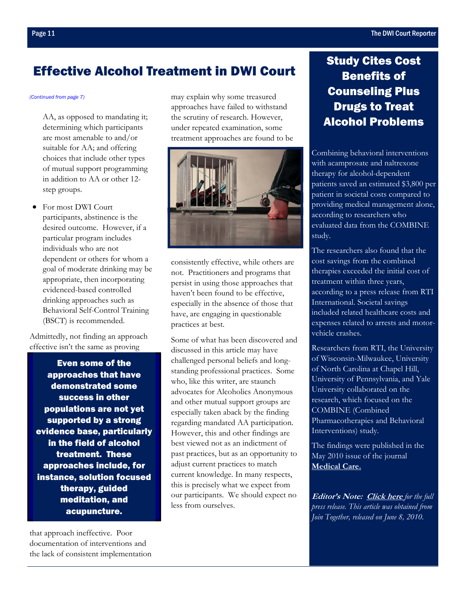# <span id="page-10-0"></span>Effective Alcohol Treatment in DWI Court

AA, as opposed to mandating it; determining which participants are most amenable to and/or suitable for AA; and offering choices that include other types of mutual support programming in addition to AA or other 12 step groups.

• For most DWI Court participants, abstinence is the desired outcome. However, if a particular program includes individuals who are not dependent or others for whom a goal of moderate drinking may be appropriate, then incorporating evidenced-based controlled drinking approaches such as Behavioral Self-Control Training (BSCT) is recommended.

Admittedly, not finding an approach effective isn't the same as proving

Even some of the approaches that have demonstrated some success in other populations are not yet supported by a strong evidence base, particularly in the field of alcohol treatment. These approaches include, for instance, solution focused therapy, guided meditation, and acupuncture.

that approach ineffective. Poor documentation of interventions and the lack of consistent implementation

*[\(Continued from page 7\)](#page-6-0)* may explain why some treasured approaches have failed to withstand the scrutiny of research. However, under repeated examination, some treatment approaches are found to be



consistently effective, while others are not. Practitioners and programs that persist in using those approaches that haven't been found to be effective, especially in the absence of those that have, are engaging in questionable practices at best.

Some of what has been discovered and discussed in this article may have challenged personal beliefs and longstanding professional practices. Some who, like this writer, are staunch advocates for Alcoholics Anonymous and other mutual support groups are especially taken aback by the finding regarding mandated AA participation. However, this and other findings are best viewed not as an indictment of past practices, but as an opportunity to adjust current practices to match current knowledge. In many respects, this is precisely what we expect from our participants. We should expect no less from ourselves.

# Study Cites Cost Benefits of Counseling Plus Drugs to Treat Alcohol Problems

Combining behavioral interventions with acamprosate and naltrexone therapy for alcohol-dependent patients saved an estimated \$3,800 per patient in societal costs compared to providing medical management alone, according to researchers who evaluated data from the COMBINE study.

The researchers also found that the cost savings from the combined therapies exceeded the initial cost of treatment within three years, according to a press release from RTI International. Societal savings included related healthcare costs and expenses related to arrests and motorvehicle crashes.

Researchers from RTI, the University of Wisconsin-Milwaukee, University of North Carolina at Chapel Hill, University of Pennsylvania, and Yale University collaborated on the research, which focused on the COMBINE (Combined Pharmacotherapies and Behavioral Interventions) study.

The findings were published in the [May 2010 issue of](http://journals.lww.com/lww-medicalcare/Abstract/2010/05000/The_Effect_of_Alcohol_Treatment_on_Social_Costs_of.2.aspx) the journal **Medical Care.**

**Editor's Note: Click here** *for the full press release. This [article was obtaine](http://www.rti.org/newsroom/news.cfm?nav=821&objectid=F4E22549-98E3-1AFD-EC811F17351AC81A)d from Join Together, released on June 8, 2010.*